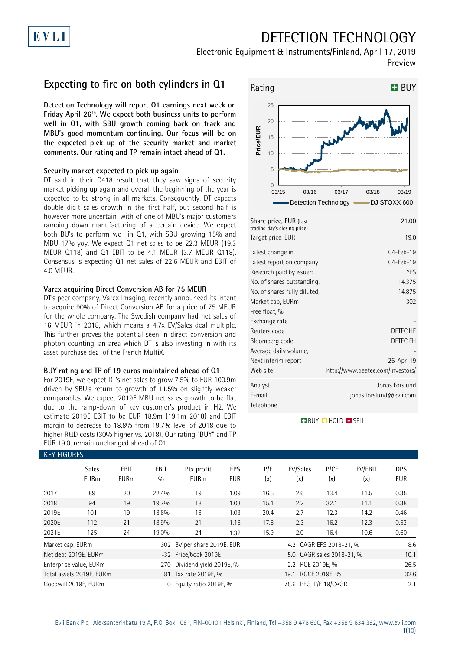## DETECTION TECHNOLOGY

Electronic Equipment & Instruments/Finland, April 17, 2019 Preview

### **Expecting to fire on both cylinders in Q1**

**Detection Technology will report Q1 earnings next week on Friday April 26th . We expect both business units to perform well in Q1, with SBU growth coming back on track and MBU's good momentum continuing. Our focus will be on the expected pick up of the security market and market comments. Our rating and TP remain intact ahead of Q1.**

#### **Security market expected to pick up again**

DT said in their Q418 result that they saw signs of security market picking up again and overall the beginning of the year is expected to be strong in all markets. Consequently, DT expects double digit sales growth in the first half, but second half is however more uncertain, with of one of MBU's major customers ramping down manufacturing of a certain device. We expect both BU's to perform well in Q1, with SBU growing 15% and MBU 17% yoy. We expect Q1 net sales to be 22.3 MEUR (19.3 MEUR Q118) and Q1 EBIT to be 4.1 MEUR (3.7 MEUR Q118). Consensus is expecting Q1 net sales of 22.6 MEUR and EBIT of 4.0 MEUR.

#### **Varex acquiring Direct Conversion AB for 75 MEUR**

DT's peer company, Varex Imaging, recently announced its intent to acquire 90% of Direct Conversion AB for a price of 75 MEUR for the whole company. The Swedish company had net sales of 16 MEUR in 2018, which means a 4.7x EV/Sales deal multiple. This further proves the potential seen in direct conversion and photon counting, an area which DT is also investing in with its asset purchase deal of the French MultiX.

#### **BUY rating and TP of 19 euros maintained ahead of Q1**

For 2019E, we expect DT's net sales to grow 7.5% to EUR 100.9m driven by SBU's return to growth of 11.5% on slightly weaker comparables. We expect 2019E MBU net sales growth to be flat due to the ramp-down of key customer's product in H2. We estimate 2019E EBIT to be EUR 18.9m (19.1m 2018) and EBIT margin to decrease to 18.8% from 19.7% level of 2018 due to higher R&D costs (30% higher vs. 2018). Our rating "BUY" and TP EUR 19.0, remain unchanged ahead of Q1.



| Share price, EUR (Last<br>trading day's closing price) | 21.00                                     |
|--------------------------------------------------------|-------------------------------------------|
| Target price, EUR                                      | 19.0                                      |
| Latest change in                                       | $04 - Feb - 19$                           |
| Latest report on company<br>Research paid by issuer:   | 04-Feb-19<br><b>YES</b>                   |
| No. of shares outstanding,                             | 14,375                                    |
| No. of shares fully diluted,                           | 14,875                                    |
| Market cap, EURm                                       | 302                                       |
| Free float, %                                          |                                           |
| Exchange rate                                          |                                           |
| Reuters code                                           | DETEC.HE                                  |
| Bloomberg code                                         | DETEC FH                                  |
| Average daily volume,                                  |                                           |
| Next interim report                                    | 26-Apr-19                                 |
| Web site                                               | http://www.deetee.com/investors/          |
| Analyst<br>E-mail<br>Telephone                         | Jonas Forslund<br>jonas.forslund@evli.com |

#### **BUY QHOLD SELL**

| <b>KEY FIGURES</b> |                             |                     |             |                             |                   |                  |                           |             |                |                          |
|--------------------|-----------------------------|---------------------|-------------|-----------------------------|-------------------|------------------|---------------------------|-------------|----------------|--------------------------|
|                    | <b>Sales</b><br><b>EURm</b> | EBIT<br><b>EURm</b> | EBIT<br>0/0 | Ptx profit<br><b>EURm</b>   | EPS<br><b>EUR</b> | P/E<br>(x)       | EV/Sales<br>(x)           | P/CF<br>(x) | EV/EBIT<br>(x) | <b>DPS</b><br><b>EUR</b> |
| 2017               | 89                          | 20                  | 22.4%       | 19                          | 1.09              | 16.5             | 2.6                       | 13.4        | 11.5           | 0.35                     |
| 2018               | 94                          | 19                  | 19.7%       | 18                          | 1.03              | 15.1             | 2.2                       | 32.1        | 11.1           | 0.38                     |
| 2019E              | 101                         | 19                  | 18.8%       | 18                          | 1.03              | 20.4             | 2.7                       | 12.3        | 14.2           | 0.46                     |
| 2020E              | 112                         | 21                  | 18.9%       | 21                          | 1.18              | 17.8             | 2.3                       | 16.2        | 12.3           | 0.53                     |
| 2021E              | 125                         | 24                  | 19.0%       | 24                          | 1.32              | 15.9             | 2.0                       | 16.4        | 10.6           | 0.60                     |
| Market cap, EURm   |                             |                     |             | 302 BV per share 2019E, EUR |                   |                  | 4.2 CAGR EPS 2018-21, %   |             |                | 8.6                      |
|                    | Net debt 2019E, EURm        |                     |             | -32 Price/book 2019E        |                   |                  | 5.0 CAGR sales 2018-21, % |             |                | 10.1                     |
|                    | Enterprise value, EURm      |                     | 270         | Dividend yield 2019E, %     |                   | 2.2 ROE 2019E, % |                           |             |                | 26.5                     |
|                    | Total assets 2019E, EURm    |                     |             | 81 Tax rate 2019E, %        |                   |                  | 19.1 ROCE 2019E, %        |             |                | 32.6                     |
|                    | Goodwill 2019E, EURm        |                     | $\Omega$    | Equity ratio 2019E, %       |                   |                  | 75.6 PEG, P/E 19/CAGR     |             |                | 2.1                      |

# EVLI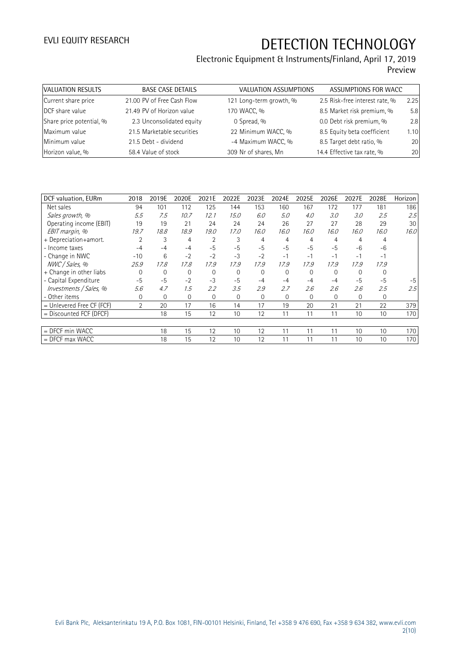| VALUATION RESULTS        | <b>BASE CASE DETAILS</b>   | VALUATION ASSUMPTIONS   | ASSUMPTIONS FOR WACC           |      |
|--------------------------|----------------------------|-------------------------|--------------------------------|------|
| Current share price      | 21.00 PV of Free Cash Flow | 121 Long-term growth, % | 2.5 Risk-free interest rate, % | 2.25 |
| DCF share value          | 21.49 PV of Horizon value  | 170 WACC, %             | 8.5 Market risk premium, %     | 5.8  |
| Share price potential, % | 2.3 Unconsolidated equity  | 0 Spread, %             | 0.0 Debt risk premium, %       | 2.8  |
| Maximum value            | 21.5 Marketable securities | 22 Minimum WACC, %      | 8.5 Equity beta coefficient    | 1.10 |
| Minimum value            | 21.5 Debt - dividend       | -4 Maximum WACC, %      | 8.5 Target debt ratio, %       | 20   |
| Horizon value, %         | 58.4 Value of stock        | 309 Nr of shares, Mn    | 14.4 Effective tax rate, %     | 20   |

| DCF valuation, EURm       | 2018     | 2019E        | 2020E       | 2021E          | 2022E          | 2023E    | 2024E        | 2025E    | 2026E       | 2027E    | 2028E    | Horizon |
|---------------------------|----------|--------------|-------------|----------------|----------------|----------|--------------|----------|-------------|----------|----------|---------|
| Net sales                 | 94       | 101          | 112         | 125            | 144            | 153      | 160          | 167      | 172         | 177      | 181      | 186     |
| Sales growth, %           | 5.5      | 7.5          | 10.7        | 12.1           | 15.0           | 6.0      | 5.0          | 4.0      | 3.0         | 3.0      | 2.5      | 2.5     |
| Operating income (EBIT)   | 19       | 19           | 21          | 24             | 24             | 24       | 26           | 27       | 27          | 28       | 29       | 30      |
| EBIT margin, %            | 19.7     | 18.8         | 18.9        | 19.0           | 17.0           | 16.0     | 16.0         | 16.0     | 16.0        | 16.0     | 16.0     | 16.0    |
| + Depreciation+amort.     | 2        | 3            | 4           | $\overline{2}$ | 3              | 4        | 4            | 4        | 4           | 4        | 4        |         |
| - Income taxes            | -4       | $-4$         | $-4$        | $-5$           | $-5$           | $-5$     | $-5$         | $-5$     | $-5$        | $-6$     | $-6$     |         |
| - Change in NWC           | $-10$    | 6            | $-2$        | $-2$           | $-3$           | $-2$     | $-1$         | $-1$     | $-1$        | $-1$     | $-1$     |         |
| NWC / Sales, %            | 25.9     | 17.8         | 17.8        | 17.9           | 17.9           | 17.9     | 17.9         | 17.9     | 17.9        | 17.9     | 17.9     |         |
| + Change in other liabs   | $\Omega$ | 0            | $\Omega$    | $\mathbf 0$    | $\overline{0}$ | $\Omega$ | $\mathbf 0$  | $\Omega$ | $\mathbf 0$ | $\Omega$ | $\Omega$ |         |
| - Capital Expenditure     | $-5$     | $-5$         | $-2$        | $-3$           | $-5$           | $-4$     | $-4$         | $-4$     | $-4$        | $-5$     | $-5$     | $-5$    |
| Investments / Sales, %    | 5.6      | 4.7          | 1.5         | 2.2            | 3.5            | 2.9      | 2.7          | 2.6      | 2.6         | 2.6      | 2.5      | 2.5     |
| - Other items             | 0        | $\mathbf{0}$ | $\mathbf 0$ | 0              | $\mathbf{0}$   | 0        | $\mathbf{0}$ | 0        | $\mathbf 0$ | 0        | 0        |         |
| = Unlevered Free CF (FCF) | 2        | 20           | 17          | 16             | 14             | 17       | 19           | 20       | 21          | 21       | 22       | 379     |
| = Discounted FCF (DFCF)   |          | 18           | 15          | 12             | 10             | 12       | 11           | 11       | 11          | 10       | 10       | 170     |
|                           |          |              |             |                |                |          |              |          |             |          |          |         |
| $=$ DFCF min WACC         |          | 18           | 15          | 12             | 10             | 12       | 11           | 11       | 11          | 10       | 10       | 170     |
| $=$ DFCF max WACC         |          | 18           | 15          | 12             | 10             | 12       | 11           | 11       | 11          | 10       | 10       | 170     |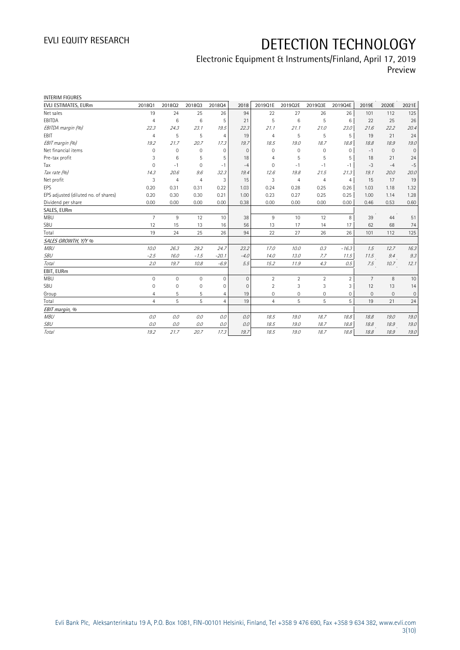| <b>INTERIM FIGURES</b>               |                |                     |                |                |              |                |                |                     |                |                |              |              |
|--------------------------------------|----------------|---------------------|----------------|----------------|--------------|----------------|----------------|---------------------|----------------|----------------|--------------|--------------|
| EVLI ESTIMATES, EURm                 | 201801         | 201802              | 201803         | 201804         | 2018         | 2019Q1E        | 2019Q2E        | 2019Q3E             | 2019Q4E        | 2019E          | 2020E        | 2021E        |
| Net sales                            | 19             | 24                  | 25             | 26             | 94           | 22             | 27             | 26                  | 26             | 101            | 112          | 125          |
| EBITDA                               | $\overline{4}$ | 6                   | 6              | 5              | 21           | 5              | 6              | 5                   | 6              | 22             | 25           | 26           |
| EBITDA margin (%)                    | 22.3           | 24.3                | 23.1           | 19.5           | 22.3         | 21.1           | 21.1           | 21.0                | 23.0           | 21.6           | 22.2         | 20.4         |
| EBIT                                 | $\overline{4}$ | 5                   | 5              | $\overline{4}$ | 19           | $\overline{4}$ | 5              | 5                   | 5              | 19             | 21           | 24           |
| EBIT margin (%)                      | 19.2           | 21.7                | 20.7           | 17.3           | 19.7         | 18.5           | 19.0           | 18.7                | 18.8           | 18.8           | 18.9         | 19.0         |
| Net financial items                  | 0              | $\mathbf{0}$        | $\mathbf 0$    | $\mathbf 0$    | $\mathbf{0}$ | $\mathbf 0$    | $\mathbf 0$    | $\mathsf{O}\xspace$ | $\mathbf 0$    | $-1$           | $\mathbf{0}$ | $\mathbf{0}$ |
| Pre-tax profit                       | 3              | $6\phantom{1}6$     | 5              | 5              | 18           | 4              | 5              | 5                   | 5              | 18             | 21           | 24           |
| Tax                                  | 0              | $-1$                | $\mathbf 0$    | $-1$           | $-4$         | $\Omega$       | $-1$           | $-1$                | $-1$           | $-3$           | $-4$         | $-5$         |
| Tax rate (%)                         | 14.3           | 20.6                | 9.6            | 32.3           | 19.4         | 12.6           | 19.8           | 21.5                | 21.3           | 19.1           | 20.0         | 20.0         |
| Net profit                           | 3              | $\overline{4}$      | $\overline{4}$ | 3              | 15           | 3              | $\overline{4}$ | $\overline{4}$      | $\overline{4}$ | 15             | 17           | 19           |
| EPS                                  | 0.20           | 0.31                | 0.31           | 0.22           | 1.03         | 0.24           | 0.28           | 0.25                | 0.26           | 1.03           | 1.18         | 1.32         |
| EPS adjusted (diluted no. of shares) | 0.20           | 0.30                | 0.30           | 0.21           | 1.00         | 0.23           | 0.27           | 0.25                | 0.25           | 1.00           | 1.14         | 1.28         |
| Dividend per share                   | 0.00           | 0.00                | 0.00           | 0.00           | 0.38         | 0.00           | 0.00           | 0.00                | 0.00           | 0.46           | 0.53         | 0.60         |
| SALES, EURm                          |                |                     |                |                |              |                |                |                     |                |                |              |              |
| <b>MBU</b>                           | $\overline{7}$ | 9                   | 12             | 10             | 38           | 9              | 10             | 12                  | 8              | 39             | 44           | 51           |
| SBU                                  | 12             | 15                  | 13             | 16             | 56           | 13             | 17             | 14                  | 17             | 62             | 68           | 74           |
| Total                                | 19             | 24                  | 25             | 26             | 94           | 22             | 27             | 26                  | 26             | 101            | 112          | 125          |
| SALES GROWTH, Y/Y %                  |                |                     |                |                |              |                |                |                     |                |                |              |              |
| <b>MBU</b>                           | 10.0           | 26.3                | 29.2           | 24.7           | 23.2         | 17.0           | 10.0           | 0.3                 | $-16.3$        | 1.5            | 12.7         | 16.3         |
| <b>SBU</b>                           | $-2.5$         | 16.0                | $-1.5$         | $-20.1$        | $-4.0$       | 14.0           | 13.0           | 7.7                 | 11.5           | 11.5           | 9.4          | 9.3          |
| Total                                | 2.0            | 19.7                | 10.8           | $-6.9$         | 5.5          | 15.2           | 11.9           | 4.3                 | 0.5            | 7.5            | 10.7         | 12.1         |
| EBIT, EURm                           |                |                     |                |                |              |                |                |                     |                |                |              |              |
| <b>MBU</b>                           | 0              | $\mathsf{O}\xspace$ | $\mathbf 0$    | 0              | $\mathbf{0}$ | $\overline{2}$ | $\overline{2}$ | $\overline{2}$      | $\overline{2}$ | $\overline{7}$ | 8            | 10           |
| SBU                                  | 0              | $\mathbf{0}$        | $\mathbf 0$    | $\mathbf{0}$   | $\mathbf{0}$ | $\overline{2}$ | 3              | 3                   | 3              | 12             | 13           | 14           |
| Group                                | 4              | 5                   | 5              | $\overline{4}$ | 19           | 0              | $\mathbf 0$    | $\mathbf 0$         | $\mathbf 0$    | $\mathbf{0}$   | $\mathbf{0}$ | $\mathbf{0}$ |
| Total                                | $\overline{4}$ | 5                   | 5              | $\overline{4}$ | 19           | $\overline{4}$ | 5              | 5                   | 5              | 19             | 21           | 24           |
| EBIT margin, %                       |                |                     |                |                |              |                |                |                     |                |                |              |              |
| <b>MBU</b>                           | 0.0            | 0.0                 | 0.0            | 0.0            | 0.0          | 18.5           | 19.0           | 18.7                | 18.8           | 18.8           | 19.0         | 19.0         |
| SBU                                  | 0.0            | 0.0                 | 0.0            | $0.0$          | 0.0          | 18.5           | 19.0           | 18.7                | 18.8           | 18.8           | 18.9         | 19.0         |
| Total                                | 19.2           | 21.7                | 20.7           | 17.3           | 19.7         | 18.5           | 19.0           | 18.7                | 18.8           | 18.8           | 18.9         | 19.0         |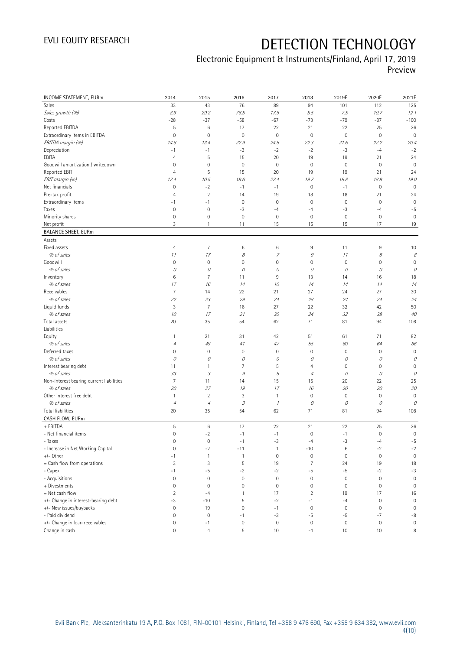| INCOME STATEMENT, EURm                   | 2014                      | 2015                                    | 2016                | 2017                | 2018           | 2019E               | 2020E        | 2021E               |
|------------------------------------------|---------------------------|-----------------------------------------|---------------------|---------------------|----------------|---------------------|--------------|---------------------|
| Sales                                    | 33                        | 43                                      | 76                  | 89                  | 94             | 101                 | 112          | 125                 |
| Sales growth (%)                         | $\mathcal{S}.\mathcal{G}$ | 29.2                                    | 76.5                | 17.9                | 5.5            | 7.5                 | 10.7         | 12.1                |
| Costs                                    | $-28$                     | $-37$                                   | $-58$               | $-67$               | $-73$          | $-79$               | $-87$        | $-100$              |
| Reported EBITDA                          | 5                         | 6                                       | 17                  | 22                  | 21             | 22                  | 25           | 26                  |
| Extraordinary items in EBITDA            | $\mathbf 0$               | $\mathbf 0$                             | $\mathbf 0$         | $\mathbf 0$         | $\mathbf 0$    | $\mathsf{O}\xspace$ | $\mathbf 0$  | $\mathbf 0$         |
| EBITDA margin (%)                        | 14.6                      | 13.4                                    | 22.9                | 24.9                | 22.3           | 21.6                | 22.2         | 20.4                |
| Depreciation                             | $-1$                      | $-1$                                    | $-3$                | $-2$                | $-2$           | $-3$                | $-4$         | $-2$                |
| EBITA                                    | $\overline{4}$            | 5                                       | 15                  | 20                  | 19             | 19                  | 21           | 24                  |
| Goodwill amortization / writedown        | 0                         | $\mathbf 0$                             | $\mathbf 0$         | $\mathbf 0$         | $\mathbf 0$    | $\mathbb O$         | $\bf 0$      | $\mathbf 0$         |
| Reported EBIT                            | $\overline{4}$            | 5                                       | 15                  | 20                  | 19             | 19                  | 21           | 24                  |
| EBIT margin (%)                          | 12.4                      | 10.5                                    | 19.6                | 22.4                | 19.7           | 18.8                | 18.9         | 19.0                |
| Net financials                           | $\mathbf 0$               | $-2$                                    | $-1$                | $-1$                | $\mathbf 0$    | $-1$                | $\bf 0$      | $\mathbf 0$         |
| Pre-tax profit                           | 4                         | $\sqrt{2}$                              | 14                  | 19                  | 18             | 18                  | 21           | 24                  |
| Extraordinary items                      | $-1$                      | $-1$                                    | $\mathbb O$         | $\circ$             | $\mathbf 0$    | $\mathbb O$         | $\mathbf 0$  | $\mathbf 0$         |
| Taxes                                    | $\mathbf 0$               | $\mathbf 0$                             | -3                  | $-4$                | $-4$           | $-3$                | $-4$         | $-5$                |
| Minority shares                          | $\mathbf 0$               | $\mathbf 0$                             | $\mathbf{0}$        | $\circ$             | $\mathbf 0$    | $\mathsf{O}\xspace$ | $\mathbf 0$  | $\mathbf 0$         |
| Net profit                               | 3                         | 1                                       | 11                  | 15                  | 15             | 15                  | 17           | 19                  |
| <b>BALANCE SHEET, EURm</b>               |                           |                                         |                     |                     |                |                     |              |                     |
| Assets                                   |                           |                                         |                     |                     |                |                     |              |                     |
| Fixed assets                             | $\overline{4}$            | $\overline{7}$                          | $\,6$               | $\,6$               | 9              | 11                  | 9            | 10                  |
| % of sales                               | 11                        | 17                                      | 8                   | $\overline{z}$      | $\mathcal G$   | 11                  | $\mathcal S$ | $\mathcal S$        |
| Goodwill                                 | $\mathbb O$               | $\mathbf 0$                             | $\mathbf 0$         | $\mathsf{O}\xspace$ | $\mathbf 0$    | $\mathbb O$         | $\mathbf 0$  | $\mathbf 0$         |
| % of sales                               | 0                         | 0                                       | 0                   | 0                   | 0              | 0                   | 0            | 0                   |
| Inventory                                | $\,6$                     | 7                                       | 11                  | 9                   | 13             | 14                  | 16           | 18                  |
| % of sales<br>Receivables                | 17<br>$\overline{7}$      | 16                                      | 14<br>22            | 10<br>21            | 14<br>27       | 14<br>24            | 14<br>27     | 14                  |
| % of sales                               |                           | 14                                      | 29                  | 24                  |                | 24                  | 24           | 30                  |
| Liquid funds                             | 22<br>3                   | 33<br>7                                 | 16                  | 27                  | 28<br>22       | 32                  | 42           | 24<br>50            |
| % of sales                               | 10                        | 17                                      | 21                  | 30                  | 24             | 32                  | 38           | 40                  |
| Total assets                             | 20                        | 35                                      | 54                  | 62                  | 71             | 81                  | 94           | 108                 |
| Liabilities                              |                           |                                         |                     |                     |                |                     |              |                     |
| Equity                                   | $\mathbf{1}$              | 21                                      | 31                  | 42                  | 51             | 61                  | 71           | 82                  |
| % of sales                               | $\overline{4}$            | 49                                      | 41                  | 47                  | 55             | 60                  | 64           | 66                  |
| Deferred taxes                           | 0                         | $\mathbf 0$                             | $\mathbf 0$         | $\mathbf 0$         | $\mathbf 0$    | $\mathsf{O}\xspace$ | $\mathbf 0$  | $\mathbb O$         |
| % of sales                               | 0                         | 0                                       | 0                   | 0                   | 0              | 0                   | 0            | 0                   |
| Interest bearing debt                    | 11                        | $\mathbf{1}$                            | $\overline{7}$      | 5                   | 4              | $\mathbb O$         | $\mathbf 0$  | $\mathsf{O}\xspace$ |
| % of sales                               | 33                        | $\ensuremath{\mathcal{S}}$              | 9                   | 5                   | $\overline{4}$ | 0                   | 0            | 0                   |
| Non-interest bearing current liabilities | $\overline{7}$            | 11                                      | 14                  | 15                  | 15             | 20                  | 22           | 25                  |
| % of sales                               | 20                        | 27                                      | 19                  | 17                  | 16             | 20                  | 20           | 20                  |
| Other interest free debt                 | $\mathbf{1}$              | $\overline{2}$                          | 3                   | $\overline{1}$      | $\mathbf 0$    | $\mathbb O$         | $\mathbf 0$  | $\mathbf 0$         |
| % of sales                               | $\overline{4}$            | $\ensuremath{\mathnormal{\mathcal{A}}}$ | 3                   | $\mathcal I$        | $\mathcal O$   | $\mathcal O$        | 0            | $\mathcal O$        |
| Total liabilities                        | 20                        | 35                                      | 54                  | 62                  | 71             | 81                  | 94           | 108                 |
| CASH FLOW, EURm                          |                           |                                         |                     |                     |                |                     |              |                     |
| + EBITDA                                 | 5                         | 6                                       | 17                  | 22                  | 21             | 22                  | 25           | 26                  |
| - Net financial items                    | $\mathbf 0$               | $-2$                                    | $-1$                | $^{\rm -1}$         | $\mathbf 0$    | $-1$                | $\mathbf 0$  | $\mathsf{O}\xspace$ |
| - Taxes                                  | $\mathbf 0$               | $\mathbf 0$                             | $-1$                | $-3$                | $-4$           | $-3$                | $-4$         | $-5$                |
| - Increase in Net Working Capital        | $\mathbf 0$               | $-2$                                    | $-11$               | $\overline{1}$      | $-10$          | $\,6$               | $-2$         | $-2$                |
| $+/-$ Other                              | $-1$                      | $\mathbf{1}$                            | $\mathbf{1}$        | $\circ$             | $\mathbf 0$    | $\mathsf{O}\xspace$ | $\mathbf 0$  | $\mathbf 0$         |
| = Cash flow from operations              | 3                         | 3                                       | $\mathsf S$         | 19                  | $\overline{7}$ | 24                  | 19           | 18                  |
| - Capex                                  | $-1$                      | $-5$                                    | $-2$                | $-2$                | $-5$           | $-5$                | $-2$         | $-3$                |
| - Acquisitions                           | $\mathbf 0$               | $\mathbf 0$                             | $\mathbb O$         | $\mathbf 0$         | $\mathbf 0$    | $\mathsf{O}\xspace$ | $\mathbf 0$  | $\mathbf 0$         |
| + Divestments                            | $\mathbf 0$               | $\mathbf 0$                             | $\mathsf{O}\xspace$ | $\circ$             | $\mathbf 0$    | $\mathsf{O}\xspace$ | $\mathbf 0$  | $\mathsf{O}\xspace$ |
| = Net cash flow                          | $\overline{2}$            | $-4$                                    | $\mathbf{1}$        | 17                  | $\overline{2}$ | 19                  | 17           | 16                  |
| +/- Change in interest-bearing debt      | $-3$                      | $-10$                                   | $\mathsf S$         | $-2$                | $-1$           | $-4$                | $\mathbf 0$  | $\mathbf 0$         |
| +/- New issues/buybacks                  | $\mathbf 0$               | 19                                      | $\mathsf{O}\xspace$ | $-1$                | $\mathbf 0$    | $\mathbf 0$         | $\mathbf 0$  | $\mathbf 0$         |
| - Paid dividend                          | $\mathbf 0$               | $\mathbf 0$                             | $-1$                | $-3$                | $-5$           | $-5$                | $-7$         | $-8$                |
| +/- Change in loan receivables           | $\mathbb O$               | $-1$                                    | $\mathsf{O}\xspace$ | $\circ$             | $\mathbf 0$    | $\mathsf{O}\xspace$ | $\bf 0$      | $\mathsf{O}\xspace$ |
| Change in cash                           | 0                         | $\overline{4}$                          | 5                   | 10                  | $-4$           | 10                  | 10           | 8                   |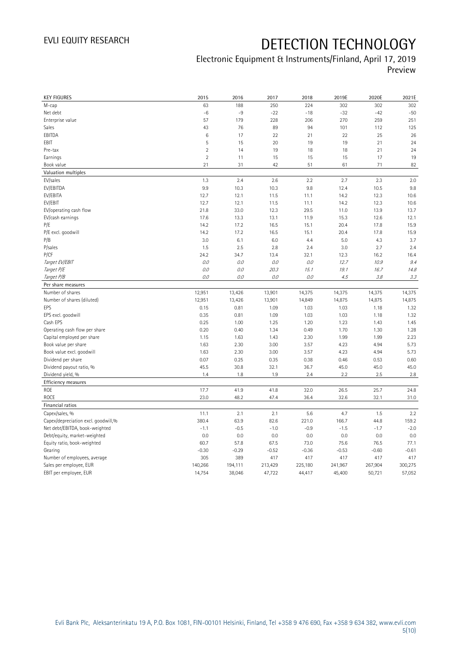| <b>KEY FIGURES</b>                  | 2015           | 2016    | 2017    | 2018    | 2019E   | 2020E   | 2021E   |
|-------------------------------------|----------------|---------|---------|---------|---------|---------|---------|
| M-cap                               | 63             | 188     | 250     | 224     | 302     | 302     | 302     |
| Net debt                            | $-6$           | $-9$    | $-22$   | $-18$   | $-32$   | $-42$   | $-50$   |
| Enterprise value                    | 57             | 179     | 228     | 206     | 270     | 259     | 251     |
| Sales                               | 43             | 76      | 89      | 94      | 101     | 112     | 125     |
| EBITDA                              | $\,6$          | 17      | 22      | 21      | 22      | 25      | 26      |
| EBIT                                | 5              | 15      | 20      | 19      | 19      | 21      | 24      |
| Pre-tax                             | $\overline{2}$ | 14      | 19      | 18      | 18      | 21      | 24      |
| Earnings                            | $\overline{2}$ | 11      | 15      | 15      | 15      | 17      | 19      |
| Book value                          | 21             | 31      | 42      | 51      | 61      | 71      | 82      |
| Valuation multiples                 |                |         |         |         |         |         |         |
| EV/sales                            | 1.3            | 2.4     | 2.6     | 2.2     | 2.7     | 2.3     | 2.0     |
| EV/EBITDA                           | 9.9            | 10.3    | 10.3    | 9.8     | 12.4    | 10.5    | 9.8     |
| EV/EBITA                            | 12.7           | 12.1    | 11.5    | 11.1    | 14.2    | 12.3    | 10.6    |
| EV/EBIT                             | 12.7           | 12.1    | 11.5    | 11.1    | 14.2    | 12.3    | 10.6    |
| EV/operating cash flow              | 21.8           | 33.0    | 12.3    | 29.5    | 11.0    | 13.9    | 13.7    |
| EV/cash earnings                    | 17.6           | 13.3    | 13.1    | 11.9    | 15.3    | 12.6    | 12.1    |
| P/E                                 | 14.2           | 17.2    | 16.5    | 15.1    | 20.4    | 17.8    | 15.9    |
| P/E excl. goodwill                  | 14.2           | 17.2    | 16.5    | 15.1    | 20.4    | 17.8    | 15.9    |
| P/B                                 | 3.0            | 6.1     | 6.0     | 4.4     | 5.0     | 4.3     | 3.7     |
| P/sales                             | 1.5            | 2.5     | 2.8     | 2.4     | 3.0     | 2.7     | 2.4     |
| P/CF                                | 24.2           | 34.7    | 13.4    | 32.1    | 12.3    | 16.2    | 16.4    |
| Target EV/EBIT                      | O.O            | 0.0     | 0.0     | 0.0     | 12.7    | 10.9    | 9.4     |
| Target P/E                          | 0.0            | O.O     | 20.3    | 15.1    | 19.1    | 16.7    | 14.8    |
| Target P/B                          | 0.0            | 0.0     | 0.0     | O.O     | 4.5     | 3.8     | 3.3     |
| Per share measures                  |                |         |         |         |         |         |         |
| Number of shares                    | 12,951         | 13,426  | 13,901  | 14,375  | 14,375  | 14,375  | 14,375  |
| Number of shares (diluted)          | 12,951         | 13,426  | 13,901  | 14,849  | 14,875  | 14,875  | 14,875  |
| EPS                                 | 0.15           | 0.81    | 1.09    | 1.03    | 1.03    | 1.18    | 1.32    |
| EPS excl. goodwill                  | 0.35           | 0.81    | 1.09    | 1.03    | 1.03    | 1.18    | 1.32    |
| Cash EPS                            | 0.25           | 1.00    | 1.25    | 1.20    | 1.23    | 1.43    | 1.45    |
| Operating cash flow per share       | 0.20           | 0.40    | 1.34    | 0.49    | 1.70    | 1.30    | 1.28    |
| Capital employed per share          | 1.15           | 1.63    | 1.43    | 2.30    | 1.99    | 1.99    | 2.23    |
| Book value per share                | 1.63           | 2.30    | 3.00    | 3.57    | 4.23    | 4.94    | 5.73    |
| Book value excl. goodwill           | 1.63           | 2.30    | 3.00    | 3.57    | 4.23    | 4.94    | 5.73    |
| Dividend per share                  | 0.07           | 0.25    | 0.35    | 0.38    | 0.46    | 0.53    | 0.60    |
| Dividend payout ratio, %            | 45.5           | 30.8    | 32.1    | 36.7    | 45.0    | 45.0    | 45.0    |
| Dividend yield, %                   | 1.4            | 1.8     | 1.9     | 2.4     | 2.2     | 2.5     | 2.8     |
| Efficiency measures                 |                |         |         |         |         |         |         |
| ROE                                 | 17.7           | 41.9    | 41.8    | 32.0    | 26.5    | 25.7    | 24.8    |
| ROCE                                | 23.0           | 48.2    | 47.4    | 36.4    | 32.6    | 32.1    | 31.0    |
| Financial ratios                    |                |         |         |         |         |         |         |
| Capex/sales, %                      | 11.1           | 2.1     | 2.1     | 5.6     | 4.7     | 1.5     | 2.2     |
| Capex/depreciation excl. goodwill,% | 380.4          | 63.9    | 82.6    | 221.0   | 166.7   | 44.8    | 159.2   |
| Net debt/EBITDA, book-weighted      | $-1.1$         | $-0.5$  | $-1.0$  | $-0.9$  | $-1.5$  | $-1.7$  | $-2.0$  |
| Debt/equity, market-weighted        | 0.0            | 0.0     | 0.0     | 0.0     | 0.0     | 0.0     | 0.0     |
| Equity ratio, book-weighted         | 60.7           | 57.8    | 67.5    | 73.0    | 75.6    | 76.5    | 77.1    |
| Gearing                             | $-0.30$        | $-0.29$ | $-0.52$ | $-0.36$ | $-0.53$ | $-0.60$ | $-0.61$ |
| Number of employees, average        | 305            | 389     | 417     | 417     | 417     | 417     | 417     |
| Sales per employee, EUR             | 140,266        | 194,111 | 213,429 | 225,180 | 241,967 | 267,904 | 300,275 |
| EBIT per employee, EUR              | 14,754         | 38,046  | 47,722  | 44,417  | 45,400  | 50,721  | 57,052  |
|                                     |                |         |         |         |         |         |         |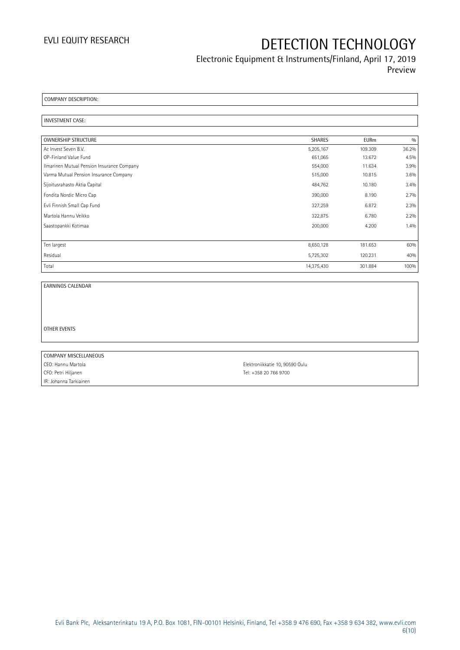### Electronic Equipment & Instruments/Finland, April 17, 2019 Preview

COMPANY DESCRIPTION:

#### INVESTMENT CASE:

| OWNERSHIP STRUCTURE                        | <b>SHARES</b> | <b>EURm</b> | 0/0   |
|--------------------------------------------|---------------|-------------|-------|
| Ac Invest Seven B.V.                       | 5,205,167     | 109.309     | 36.2% |
| OP-Finland Value Fund                      | 651,065       | 13.672      | 4.5%  |
| Ilmarinen Mutual Pension Insurance Company | 554,000       | 11.634      | 3.9%  |
| Varma Mutual Pension Insurance Company     | 515,000       | 10.815      | 3.6%  |
| Sijoitusrahasto Aktia Capital              | 484,762       | 10.180      | 3.4%  |
| Fondita Nordic Micro Cap                   | 390,000       | 8.190       | 2.7%  |
| Evli Finnish Small Cap Fund                | 327,259       | 6.872       | 2.3%  |
| Martola Hannu Veikko                       | 322,875       | 6.780       | 2.2%  |
| Saastopankki Kotimaa                       | 200,000       | 4.200       | 1.4%  |
|                                            |               |             |       |
| Ten largest                                | 8,650,128     | 181.653     | 60%   |
| Residual                                   | 5,725,302     | 120.231     | 40%   |
| Total                                      | 14,375,430    | 301.884     | 100%  |

EARNINGS CALENDAR

OTHER EVENTS

COMPANY MISCELLANEOUS CEO: Hannu Martola Elektroniikkatie 10, 90590 Oulu CFO: Petri Hiljanen Tel: +358 20 766 9700 IR: Johanna Tarkiainen

Evli Bank Plc, Aleksanterinkatu 19 A, P.O. Box 1081, FIN-00101 Helsinki, Finland, Tel +358 9 476 690, Fax +358 9 634 382, [www.evli.com](http://www.evli.com/) 6(10)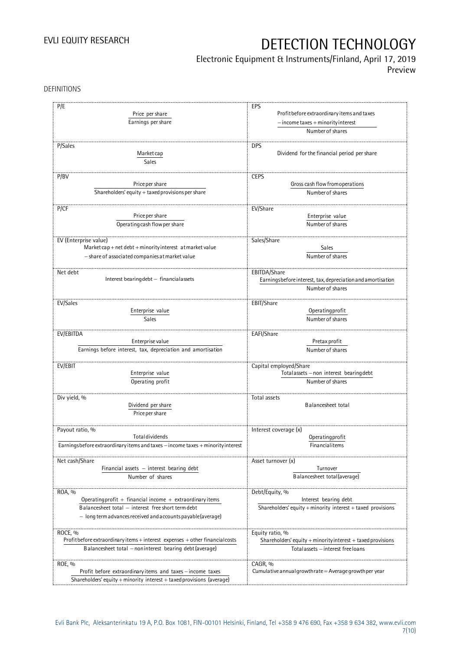### Electronic Equipment & Instruments/Finland, April 17, 2019

Preview

DEFINITIONS

| P/E                                                                             | EPS                                                         |
|---------------------------------------------------------------------------------|-------------------------------------------------------------|
| Price per share                                                                 | Profit before extraordinary items and taxes                 |
| Earnings per share                                                              | $-$ income taxes $+$ minority interest                      |
|                                                                                 | Number of shares                                            |
| P/Sales                                                                         | <b>DPS</b>                                                  |
|                                                                                 | Dividend for the financial period per share                 |
| Market cap                                                                      |                                                             |
| Sales                                                                           |                                                             |
|                                                                                 |                                                             |
| P/BV<br>Price per share                                                         | <b>CEPS</b><br>Gross cash flow from operations              |
|                                                                                 |                                                             |
| Shareholders' equity $+$ taxed provisions per share                             | Number of shares                                            |
| P/CF                                                                            | EV/Share                                                    |
| Price per share                                                                 | Enterprise value                                            |
| Operating cash flow per share                                                   | Number of shares                                            |
|                                                                                 |                                                             |
| EV (Enterprise value)                                                           | Sales/Share                                                 |
| Market cap + net debt + minority interest at market value                       | Sales                                                       |
| - share of associated companies at market value                                 | Number of shares                                            |
|                                                                                 |                                                             |
| Net debt                                                                        | EBITDA/Share                                                |
| Interest bearing debt - financial assets                                        | Earningsbefore interest, tax, depreciation and amortisation |
|                                                                                 | Number of shares                                            |
|                                                                                 |                                                             |
| EV/Sales                                                                        | EBIT/Share                                                  |
| Enterprise value                                                                | Operating profit                                            |
| Sales                                                                           | Number of shares                                            |
|                                                                                 |                                                             |
| EV/EBITDA<br>Enterprise value                                                   | EAFI/Share<br>Pretax profit                                 |
| Earnings before interest, tax, depreciation and amortisation                    | Number of shares                                            |
|                                                                                 |                                                             |
| EV/EBIT                                                                         | Capital employed/Share                                      |
| Enterprise value                                                                | Totalassets - non interest bearing debt                     |
| Operating profit                                                                | Number of shares                                            |
|                                                                                 |                                                             |
| Div yield, %                                                                    | Total assets                                                |
| Dividend per share                                                              | Balancesheet total                                          |
| Price per share                                                                 |                                                             |
|                                                                                 |                                                             |
| Payout ratio, %                                                                 | Interest coverage (x)                                       |
| Totaldividends                                                                  | Operatingprofit                                             |
| Earningsbefore extraordinary items and taxes - income taxes + minority interest | Financialitems                                              |
| Net cash/Share                                                                  | Asset turnover (x)                                          |
| Financial assets $-$ interest bearing debt                                      | Turnover                                                    |
| Number of shares                                                                | Balancesheet total(average)                                 |
|                                                                                 |                                                             |
| ROA, %                                                                          | Debt/Equity, %                                              |
| Operating profit + financial income + extraordinary items                       | Interest bearing debt                                       |
| Balancesheet total - interest free short term debt                              | Shareholders' equity + minority interest + taxed provisions |
| - long term advances received and accounts payable (average)                    |                                                             |
|                                                                                 |                                                             |
| ROCE, %                                                                         | Equity ratio, %                                             |
| Profit before extraordinary items + interest expenses + other financial costs   | Shareholders' equity + minority interest + taxed provisions |
| Balancesheet total - noninterest bearing debt (average)                         | Total assets - interest free loans                          |
|                                                                                 |                                                             |
| ROE, %                                                                          | CAGR, %                                                     |
| Profit before extraordinary items and taxes - income taxes                      | Cumulative annual growth rate = Average growth per year     |
| Shareholders' equity + minority interest + taxed provisions (average)           |                                                             |
|                                                                                 |                                                             |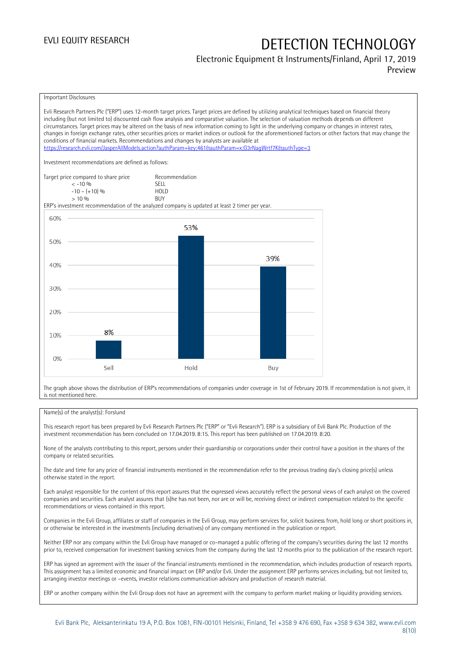### Electronic Equipment & Instruments/Finland, April 17, 2019 Preview

Important Disclosures

Evli Research Partners Plc ("ERP") uses 12-month target prices. Target prices are defined by utilizing analytical techniques based on financial theory including (but not limited to) discounted cash flow analysis and comparative valuation. The selection of valuation methods depends on different circumstances. Target prices may be altered on the basis of new information coming to light in the underlying company or changes in interest rates, changes in foreign exchange rates, other securities prices or market indices or outlook for the aforementioned factors or other factors that may change the conditions of financial markets. Recommendations and changes by analysts are available at <https://research.evli.com/JasperAllModels.action?authParam=key;461&authParam=x;G3rNagWrtf7K&authType=3> Investment recommendations are defined as follows: Target price compared to share price Recommendation<br>  $\leq 10\%$  $\langle 5, 10, 10 \rangle$  SELL<br> $\langle -10, 10, 10 \rangle$  SELL  $-10 - (+10) \%$  HOL<br>  $> 10 \%$  RIJY  $> 10\%$ ERP's investment recommendation of the analyzed company is updated at least 2 timer per year. 60% 53% 50% 39% 40% 30% 20% 8% 10%  $0%$ Sell Hold Buy

The graph above shows the distribution of ERP's recommendations of companies under coverage in 1st of February 2019. If recommendation is not given, it is not mentioned here.

#### Name(s) of the analyst(s): Forslund

This research report has been prepared by Evli Research Partners Plc ("ERP" or "Evli Research"). ERP is a subsidiary of Evli Bank Plc. Production of the investment recommendation has been concluded on 17.04.2019. 8:15. This report has been published on 17.04.2019. 8:20.

None of the analysts contributing to this report, persons under their guardianship or corporations under their control have a position in the shares of the company or related securities.

The date and time for any price of financial instruments mentioned in the recommendation refer to the previous trading day's closing price(s) unless otherwise stated in the report.

Each analyst responsible for the content of this report assures that the expressed views accurately reflect the personal views of each analyst on the covered companies and securities. Each analyst assures that (s)he has not been, nor are or will be, receiving direct or indirect compensation related to the specific recommendations or views contained in this report.

Companies in the Evli Group, affiliates or staff of companies in the Evli Group, may perform services for, solicit business from, hold long or short positions in, or otherwise be interested in the investments (including derivatives) of any company mentioned in the publication or report.

Neither ERP nor any company within the Evli Group have managed or co-managed a public offering of the company's securities during the last 12 months prior to, received compensation for investment banking services from the company during the last 12 months prior to the publication of the research report.

ERP has signed an agreement with the issuer of the financial instruments mentioned in the recommendation, which includes production of research reports. This assignment has a limited economic and financial impact on ERP and/or Evli. Under the assignment ERP performs services including, but not limited to, arranging investor meetings or –events, investor relations communication advisory and production of research material.

ERP or another company within the Evli Group does not have an agreement with the company to perform market making or liquidity providing services.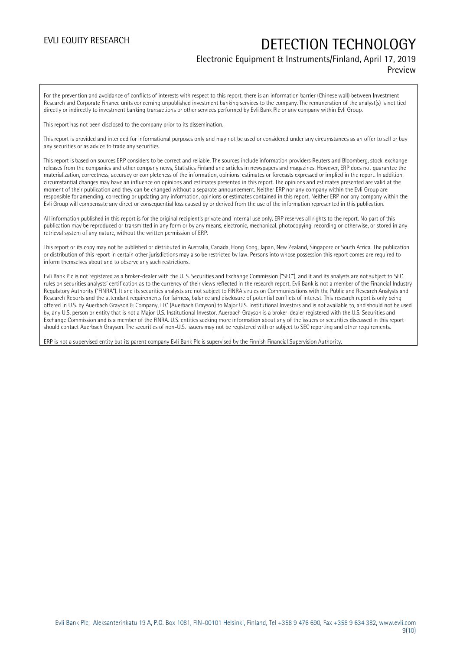### Electronic Equipment & Instruments/Finland, April 17, 2019

Preview

For the prevention and avoidance of conflicts of interests with respect to this report, there is an information barrier (Chinese wall) between Investment Research and Corporate Finance units concerning unpublished investment banking services to the company. The remuneration of the analyst(s) is not tied directly or indirectly to investment banking transactions or other services performed by Evli Bank Plc or any company within Evli Group.

This report has not been disclosed to the company prior to its dissemination.

This report is provided and intended for informational purposes only and may not be used or considered under any circumstances as an offer to sell or buy any securities or as advice to trade any securities.

This report is based on sources ERP considers to be correct and reliable. The sources include information providers Reuters and Bloomberg, stock-exchange releases from the companies and other company news, Statistics Finland and articles in newspapers and magazines. However, ERP does not guarantee the materialization, correctness, accuracy or completeness of the information, opinions, estimates or forecasts expressed or implied in the report. In addition, circumstantial changes may have an influence on opinions and estimates presented in this report. The opinions and estimates presented are valid at the moment of their publication and they can be changed without a separate announcement. Neither ERP nor any company within the Evli Group are responsible for amending, correcting or updating any information, opinions or estimates contained in this report. Neither ERP nor any company within the Evli Group will compensate any direct or consequential loss caused by or derived from the use of the information represented in this publication.

All information published in this report is for the original recipient's private and internal use only. ERP reserves all rights to the report. No part of this publication may be reproduced or transmitted in any form or by any means, electronic, mechanical, photocopying, recording or otherwise, or stored in any retrieval system of any nature, without the written permission of ERP.

This report or its copy may not be published or distributed in Australia, Canada, Hong Kong, Japan, New Zealand, Singapore or South Africa. The publication or distribution of this report in certain other jurisdictions may also be restricted by law. Persons into whose possession this report comes are required to inform themselves about and to observe any such restrictions.

Evli Bank Plc is not registered as a broker-dealer with the U. S. Securities and Exchange Commission ("SEC"), and it and its analysts are not subject to SEC rules on securities analysts' certification as to the currency of their views reflected in the research report. Evli Bank is not a member of the Financial Industry Regulatory Authority ("FINRA"). It and its securities analysts are not subject to FINRA's rules on Communications with the Public and Research Analysts and Research Reports and the attendant requirements for fairness, balance and disclosure of potential conflicts of interest. This research report is only being offered in U.S. by Auerbach Grayson & Company, LLC (Auerbach Grayson) to Major U.S. Institutional Investors and is not available to, and should not be used by, any U.S. person or entity that is not a Major U.S. Institutional Investor. Auerbach Grayson is a broker-dealer registered with the U.S. Securities and Exchange Commission and is a member of the FINRA. U.S. entities seeking more information about any of the issuers or securities discussed in this report should contact Auerbach Grayson. The securities of non-U.S. issuers may not be registered with or subject to SEC reporting and other requirements.

ERP is not a supervised entity but its parent company Evli Bank Plc is supervised by the Finnish Financial Supervision Authority.